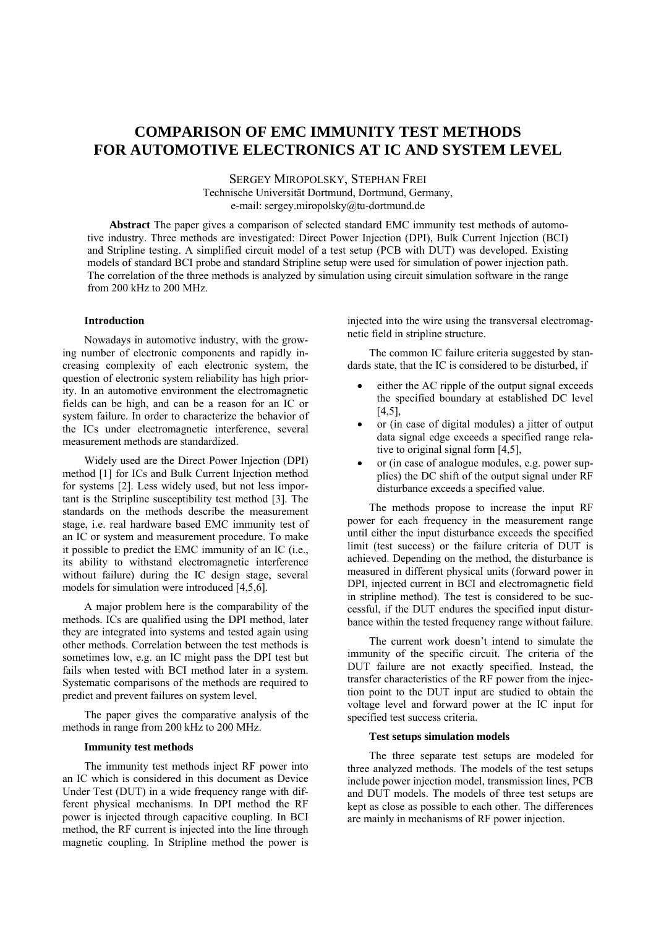# **COMPARISON OF EMC IMMUNITY TEST METHODS FOR AUTOMOTIVE ELECTRONICS AT IC AND SYSTEM LEVEL**

SERGEY MIROPOLSKY, STEPHAN FREI Technische Universität Dortmund, Dortmund, Germany, e-mail: sergey.miropolsky@tu-dortmund.de

**Abstract** The paper gives a comparison of selected standard EMC immunity test methods of automotive industry. Three methods are investigated: Direct Power Injection (DPI), Bulk Current Injection (BCI) and Stripline testing. A simplified circuit model of a test setup (PCB with DUT) was developed. Existing models of standard BCI probe and standard Stripline setup were used for simulation of power injection path. The correlation of the three methods is analyzed by simulation using circuit simulation software in the range from 200 kHz to 200 MHz.

### **Introduction**

Nowadays in automotive industry, with the growing number of electronic components and rapidly increasing complexity of each electronic system, the question of electronic system reliability has high priority. In an automotive environment the electromagnetic fields can be high, and can be a reason for an IC or system failure. In order to characterize the behavior of the ICs under electromagnetic interference, several measurement methods are standardized.

Widely used are the Direct Power Injection (DPI) method [1] for ICs and Bulk Current Injection method for systems [2]. Less widely used, but not less important is the Stripline susceptibility test method [3]. The standards on the methods describe the measurement stage, i.e. real hardware based EMC immunity test of an IC or system and measurement procedure. To make it possible to predict the EMC immunity of an IC (i.e., its ability to withstand electromagnetic interference without failure) during the IC design stage, several models for simulation were introduced [4,5,6].

A major problem here is the comparability of the methods. ICs are qualified using the DPI method, later they are integrated into systems and tested again using other methods. Correlation between the test methods is sometimes low, e.g. an IC might pass the DPI test but fails when tested with BCI method later in a system. Systematic comparisons of the methods are required to predict and prevent failures on system level.

The paper gives the comparative analysis of the methods in range from 200 kHz to 200 MHz.

## **Immunity test methods**

The immunity test methods inject RF power into an IC which is considered in this document as Device Under Test (DUT) in a wide frequency range with different physical mechanisms. In DPI method the RF power is injected through capacitive coupling. In BCI method, the RF current is injected into the line through magnetic coupling. In Stripline method the power is

injected into the wire using the transversal electromagnetic field in stripline structure.

The common IC failure criteria suggested by standards state, that the IC is considered to be disturbed, if

- either the AC ripple of the output signal exceeds the specified boundary at established DC level [4,5],
- or (in case of digital modules) a jitter of output data signal edge exceeds a specified range relative to original signal form [4,5],
- or (in case of analogue modules, e.g. power supplies) the DC shift of the output signal under RF disturbance exceeds a specified value.

The methods propose to increase the input RF power for each frequency in the measurement range until either the input disturbance exceeds the specified limit (test success) or the failure criteria of DUT is achieved. Depending on the method, the disturbance is measured in different physical units (forward power in DPI, injected current in BCI and electromagnetic field in stripline method). The test is considered to be successful, if the DUT endures the specified input disturbance within the tested frequency range without failure.

The current work doesn't intend to simulate the immunity of the specific circuit. The criteria of the DUT failure are not exactly specified. Instead, the transfer characteristics of the RF power from the injection point to the DUT input are studied to obtain the voltage level and forward power at the IC input for specified test success criteria.

### **Test setups simulation models**

The three separate test setups are modeled for three analyzed methods. The models of the test setups include power injection model, transmission lines, PCB and DUT models. The models of three test setups are kept as close as possible to each other. The differences are mainly in mechanisms of RF power injection.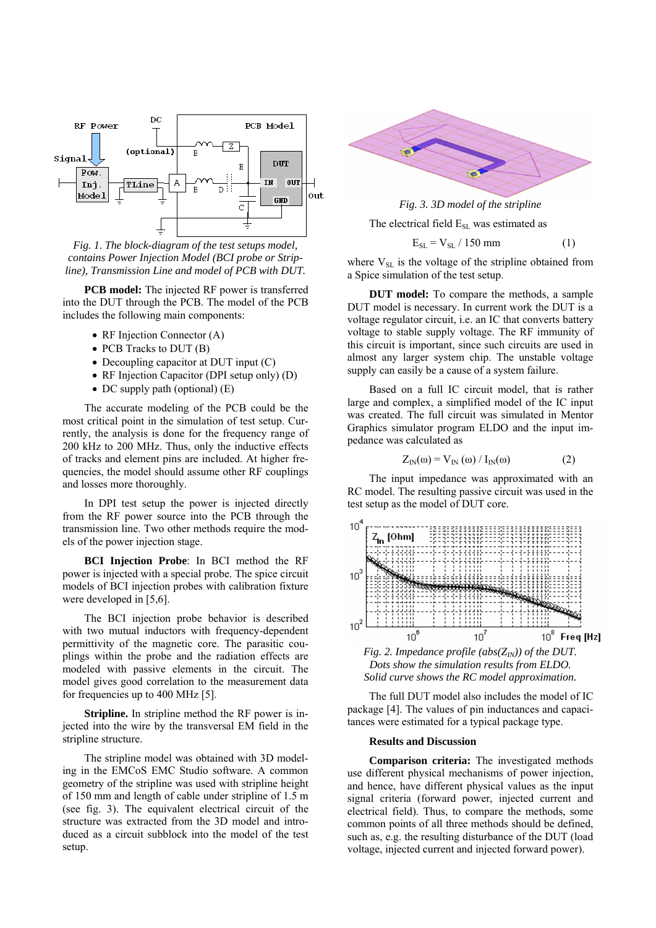

*Fig. 1. The block-diagram of the test setups model, contains Power Injection Model (BCI probe or Stripline), Transmission Line and model of PCB with DUT.* 

**PCB model:** The injected RF power is transferred into the DUT through the PCB. The model of the PCB includes the following main components:

- RF Injection Connector (A)
- PCB Tracks to DUT (B)
- Decoupling capacitor at DUT input (C)
- RF Injection Capacitor (DPI setup only) (D)
- DC supply path (optional) (E)

The accurate modeling of the PCB could be the most critical point in the simulation of test setup. Currently, the analysis is done for the frequency range of 200 kHz to 200 MHz. Thus, only the inductive effects of tracks and element pins are included. At higher frequencies, the model should assume other RF couplings and losses more thoroughly.

In DPI test setup the power is injected directly from the RF power source into the PCB through the transmission line. Two other methods require the models of the power injection stage.

**BCI Injection Probe**: In BCI method the RF power is injected with a special probe. The spice circuit models of BCI injection probes with calibration fixture were developed in [5,6].

The BCI injection probe behavior is described with two mutual inductors with frequency-dependent permittivity of the magnetic core. The parasitic couplings within the probe and the radiation effects are modeled with passive elements in the circuit. The model gives good correlation to the measurement data for frequencies up to 400 MHz [5].

**Stripline.** In stripline method the RF power is injected into the wire by the transversal EM field in the stripline structure.

The stripline model was obtained with 3D modeling in the EMCoS EMC Studio software. A common geometry of the stripline was used with stripline height of 150 mm and length of cable under stripline of 1.5 m (see fig. 3). The equivalent electrical circuit of the structure was extracted from the 3D model and introduced as a circuit subblock into the model of the test setup.





The electrical field  $E_{\text{SL}}$  was estimated as

$$
E_{SL} = V_{SL} / 150 \text{ mm}
$$
 (1)

where  $V_{SL}$  is the voltage of the stripline obtained from a Spice simulation of the test setup.

**DUT model:** To compare the methods, a sample DUT model is necessary. In current work the DUT is a voltage regulator circuit, i.e. an IC that converts battery voltage to stable supply voltage. The RF immunity of this circuit is important, since such circuits are used in almost any larger system chip. The unstable voltage supply can easily be a cause of a system failure.

Based on a full IC circuit model, that is rather large and complex, a simplified model of the IC input was created. The full circuit was simulated in Mentor Graphics simulator program ELDO and the input impedance was calculated as

$$
Z_{\text{IN}}(\omega) = V_{\text{IN}}(\omega) / I_{\text{IN}}(\omega)
$$
 (2)

The input impedance was approximated with an RC model. The resulting passive circuit was used in the test setup as the model of DUT core.



*Fig. 2. Impedance profile (abs(* $Z_N$ *)) of the DUT. Dots show the simulation results from ELDO. Solid curve shows the RC model approximation.* 

The full DUT model also includes the model of IC package [4]. The values of pin inductances and capacitances were estimated for a typical package type.

### **Results and Discussion**

**Comparison criteria:** The investigated methods use different physical mechanisms of power injection, and hence, have different physical values as the input signal criteria (forward power, injected current and electrical field). Thus, to compare the methods, some common points of all three methods should be defined, such as, e.g. the resulting disturbance of the DUT (load voltage, injected current and injected forward power).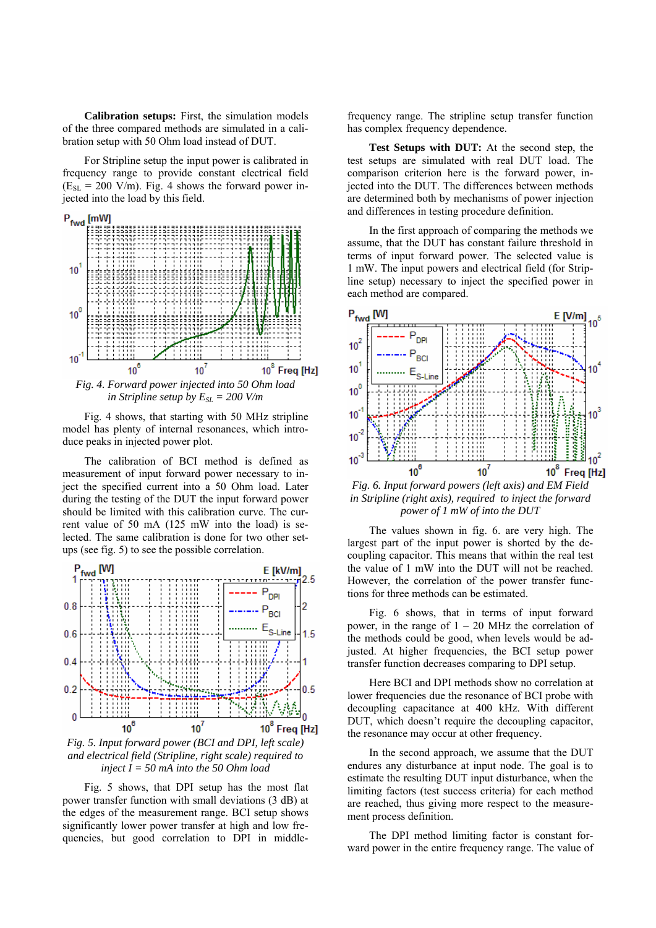**Calibration setups:** First, the simulation models of the three compared methods are simulated in a calibration setup with 50 Ohm load instead of DUT.

For Stripline setup the input power is calibrated in frequency range to provide constant electrical field  $(E_{SL} = 200 \text{ V/m})$ . Fig. 4 shows the forward power injected into the load by this field.



Fig. 4 shows, that starting with 50 MHz stripline model has plenty of internal resonances, which intro-

duce peaks in injected power plot.

The calibration of BCI method is defined as measurement of input forward power necessary to inject the specified current into a 50 Ohm load. Later during the testing of the DUT the input forward power should be limited with this calibration curve. The current value of 50 mA (125 mW into the load) is selected. The same calibration is done for two other setups (see fig. 5) to see the possible correlation.



*Fig. 5. Input forward power (BCI and DPI, left scale) and electrical field (Stripline, right scale) required to inject I = 50 mA into the 50 Ohm load* 

Fig. 5 shows, that DPI setup has the most flat power transfer function with small deviations (3 dB) at the edges of the measurement range. BCI setup shows significantly lower power transfer at high and low frequencies, but good correlation to DPI in middlefrequency range. The stripline setup transfer function has complex frequency dependence.

**Test Setups with DUT:** At the second step, the test setups are simulated with real DUT load. The comparison criterion here is the forward power, injected into the DUT. The differences between methods are determined both by mechanisms of power injection and differences in testing procedure definition.

In the first approach of comparing the methods we assume, that the DUT has constant failure threshold in terms of input forward power. The selected value is 1 mW. The input powers and electrical field (for Stripline setup) necessary to inject the specified power in each method are compared.



*Fig. 6. Input forward powers (left axis) and EM Field in Stripline (right axis), required to inject the forward power of 1 mW of into the DUT* 

The values shown in fig. 6. are very high. The largest part of the input power is shorted by the decoupling capacitor. This means that within the real test the value of 1 mW into the DUT will not be reached. However, the correlation of the power transfer functions for three methods can be estimated.

Fig. 6 shows, that in terms of input forward power, in the range of  $1 - 20$  MHz the correlation of the methods could be good, when levels would be adjusted. At higher frequencies, the BCI setup power transfer function decreases comparing to DPI setup.

Here BCI and DPI methods show no correlation at lower frequencies due the resonance of BCI probe with decoupling capacitance at 400 kHz. With different DUT, which doesn't require the decoupling capacitor, the resonance may occur at other frequency.

In the second approach, we assume that the DUT endures any disturbance at input node. The goal is to estimate the resulting DUT input disturbance, when the limiting factors (test success criteria) for each method are reached, thus giving more respect to the measurement process definition.

The DPI method limiting factor is constant forward power in the entire frequency range. The value of